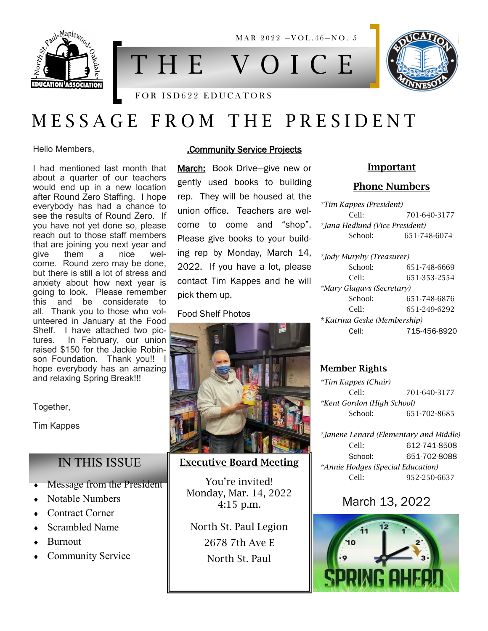

MAR 2022 - VOL.46-NO. 5

# T H E V O I C E



## M E S S A G E F R O M T H E P R E S I D E N T

Hello Members,

I had mentioned last month that about a quarter of our teachers would end up in a new location after Round Zero Staffing. I hope everybody has had a chance to see the results of Round Zero. If you have not yet done so, please reach out to those staff members that are joining you next year and<br>give them a nice wel $then$  a come. Round zero may be done, but there is still a lot of stress and anxiety about how next year is going to look. Please remember this and be considerate to all. Thank you to those who volunteered in January at the Food Shelf. I have attached two pictures. In February, our union raised \$150 for the Jackie Robinson Foundation. Thank you!! I hope everybody has an amazing and relaxing Spring Break!!!

Together,

Tim Kappes

#### IN THIS ISSUE

- Message from the President
- Notable Numbers
- Contract Corner
- Scrambled Name
- Burnout
- Community Service

#### .Community Service Projects

March: Book Drive—give new or gently used books to building rep. They will be housed at the union office. Teachers are welcome to come and "shop". Please give books to your building rep by Monday, March 14, 2022. If you have a lot, please contact Tim Kappes and he will pick them up.

#### Food Shelf Photos



#### Executive Board Meeting

You're invited! Monday, Mar. 14, 2022 4:15 p.m.

North St. Paul Legion 2678 7th Ave E North St. Paul

#### Important

#### Phone Numbers

| *Tim Kappes (President)        |              |
|--------------------------------|--------------|
| Cell·                          | 701-640-3177 |
| *Jana Hedlund (Vice President) |              |
| School:                        | 651-748-6074 |
|                                |              |
| *Jody Murphy (Treasurer)       |              |
| School:                        | 651-748-6669 |
| Cell:                          | 651-353-2554 |
| *Mary Glagavs (Secretary)      |              |
| School:                        | 651-748-6876 |
| Cell:                          | 651-249-6292 |

\**Katrina Geske (Membership)* Cell: 715-456-8920

#### Member Rights

*\*Tim Kappes (Chair)* Cell: 701-640-3177 *\*Kent Gordon (High School)* School: 651-702-8685

*\*Janene Lenard (Elementary and Middle)* Cell: 612-741-8508 School: 651-702-8088 *\*Annie Hodges (Special Education)* Cell: 952-250-6637

#### March 13, 2022